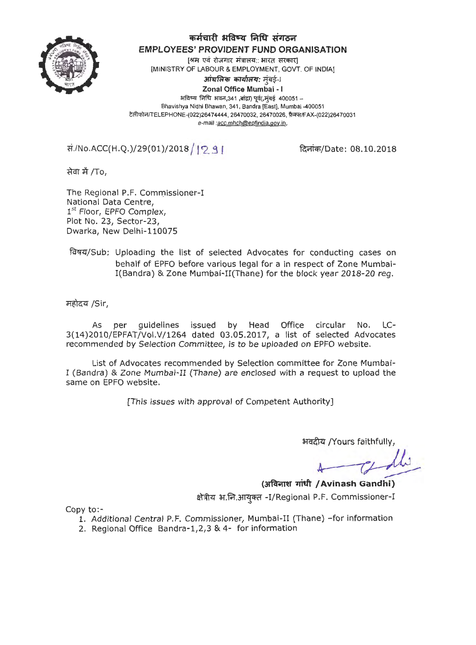

## **q;;A** *ii* **I.fl 3tftrq fifflt :S Ji oo1**

EMPLOYEES' PROVIDENT FUND ORGANISATION<br>अस एवं रोजगार संत्रालय:: भारत सरकार]<br>MINISTRY OF LAROUR \* EMPLOYMENT, COVE OF INDIA! ministry of Labour & EMPLOYMENT, GOVT. OF INDIA]<br>**3 अंचलिक कार्यालय:** मुंबई-I<br>**- Zegel Office Member** 

*.:,*  **Zonal Office Mumbai** - I  $+$ विष्य निधि भवन,341 ,बांद्रा) पूर्व(,मुंबई 400051 -Bhavishya Nidhi Bhawan, 341, Sandra [East], Mumbai -400051 टेलीफोन/TELEPHONE-(022)26474444, 26470032, 26470026, फ़ैक्स/FAX-(022)26470031 e-mail :acc.mhch@epfindia.gov.in,

 $\overline{\text{H}}$ ./No.ACC(H.Q.)/29(01)/2018 / 12 9 1

दिनांक/Date: 08.10.2018

सेवा में /To,

The Regional P.F. Commissioner-I National Data Centre, 1st Floor, EPFO Complex, Plot No. 23, Sector-23, Dwarka, New Delhi-110075

~/Sub: Uploading the list of selected Advocates for conducting cases on behalf of EPFO before various legal for a in respect of Zone Mumbai-I(Bandra) & Zone Mumbai-II(Thane) for the block year 2018-20 reg.

महोदय /Sir,

As per guidelines issued by Head Office circular No. LC-3(14)2010/EPFAT/Vol.V/1264 dated 03.05.2017, a list of selected Advocates recommended by Selection Committee, is to be uploaded on EPFO website.

List of Advocates recommended by Selection committee for Zone Mumbai- ! (Bandra) & Zone Mumbai-II (Thane) are enclosed with a request to upload the same on EPFO website.

[This issues with approval of Competent Authority]

~ /Yours faithfully,

*A--(~* 

**(arfc!r.mr '1l'itft / Avinash Gandhi)**  क्षेत्रीय भ.नि.आयुक्त -I/Regional P.F. Commissioner-I

Copy to:-

- 1. Additional Central P.F. Commissioner, Mumbai-II (Thane) -for information
- 2. Regional Office Bandra-1,2,3 & 4- for information